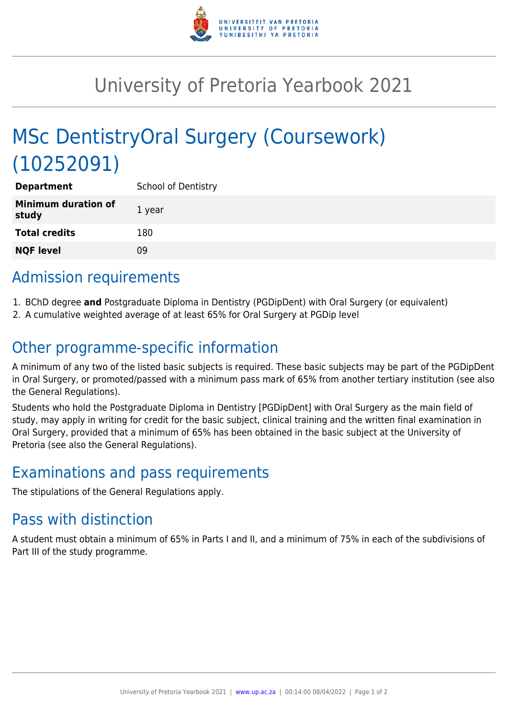

## University of Pretoria Yearbook 2021

# MSc DentistryOral Surgery (Coursework) (10252091)

| <b>Department</b>                   | <b>School of Dentistry</b> |
|-------------------------------------|----------------------------|
| <b>Minimum duration of</b><br>study | 1 year                     |
| <b>Total credits</b>                | 180                        |
| <b>NQF level</b>                    | 09                         |

## Admission requirements

- 1. BChD degree **and** Postgraduate Diploma in Dentistry (PGDipDent) with Oral Surgery (or equivalent)
- 2. A cumulative weighted average of at least 65% for Oral Surgery at PGDip level

## Other programme-specific information

A minimum of any two of the listed basic subjects is required. These basic subjects may be part of the PGDipDent in Oral Surgery, or promoted/passed with a minimum pass mark of 65% from another tertiary institution (see also the General Regulations).

Students who hold the Postgraduate Diploma in Dentistry [PGDipDent] with Oral Surgery as the main field of study, may apply in writing for credit for the basic subject, clinical training and the written final examination in Oral Surgery, provided that a minimum of 65% has been obtained in the basic subject at the University of Pretoria (see also the General Regulations).

## Examinations and pass requirements

The stipulations of the General Regulations apply.

#### Pass with distinction

A student must obtain a minimum of 65% in Parts I and II, and a minimum of 75% in each of the subdivisions of Part III of the study programme.